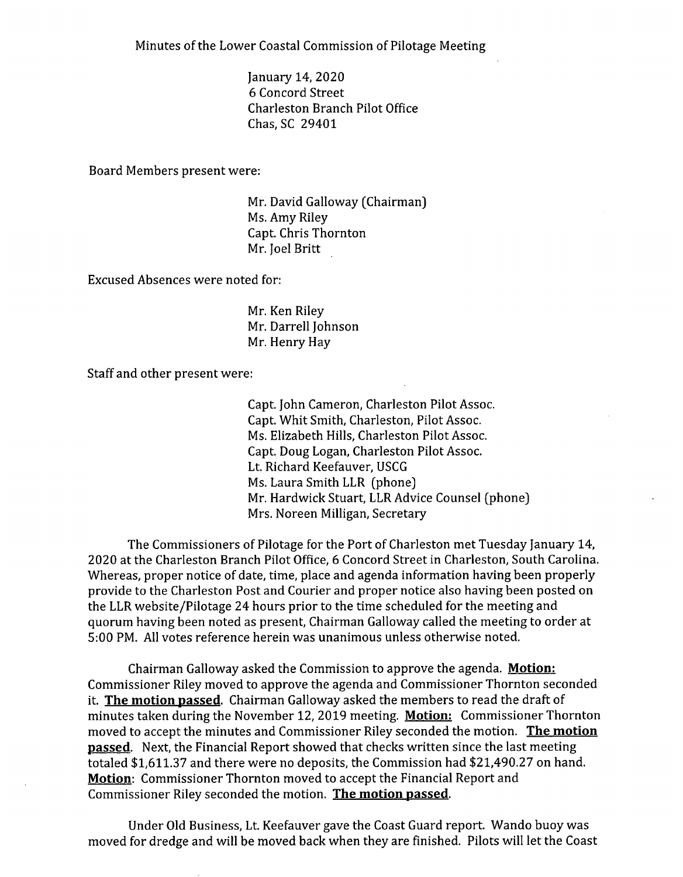Minutes of the Lower Coastal Commission of Pilotage Meeting

January 14, 2020 6 Concord Street Charleston Branch Pilot Office Chas, SC 29401

Board Members present were:

Mr. David Galloway (Chairman) Ms. Amy Riley Capt. Chris Thornton Mr. Joel Britt

Excused Absences were noted for:

Mr. Ken Riley Mr. Darrell Johnson Mr. Henry Hay

Staff and other present were:

Capt. John Cameron, Charleston Pilot Assoc. Capt. Whit Smith, Charleston, Pilot Assoc. Ms. Elizabeth Hills, Charleston Pilot Assoc. Capt. Doug Logan, Charleston Pilot Assoc. Lt. Richard Keefauver, USCG Ms. Laura Smith LLR (phone) Mr. Hardwick Stuart, LLR Advice Counsel (phone) Mrs. Noreen Milligan, Secretary

The Commissioners of Pilotage for the Port of Charleston met Tuesday January 14, 2020 at the Charleston Branch Pilot Office, 6 Concord Street in Charleston, South Carolina. Whereas, proper notice of date, time, place and agenda information having been properly provide to the Charleston Post and Courier and proper notice also having been posted on the LLR website/Pilotage 24 hours prior to the time scheduled for the meeting and quorum having been noted as present, Chairman Galloway called the meeting to order at 5:00 PM. All votes reference herein was unanimous unless otherwise noted.

Chairman Galloway asked the Commission to approve the agenda. **Motion:**  Commissioner Riley moved to approve the agenda and Commissioner Thornton seconded it. **The motion passed.** Chairman Galloway asked the members to read the draft of minutes taken during the November 12, 2019 meeting. **Motion:** Commissioner Thornton moved to accept the minutes and Commissioner Riley seconded the motion. **The motion passed.** Next, the Financial Report showed that checks written since the last meeting totaled \$1,611.37 and there were no deposits, the Commission had \$21,490.27 on hand. **Motion:** Commissioner Thornton moved to accept the Financial Report and Commissioner Riley seconded the motion. **The motion passed.** 

Under Old Business, Lt. Keefauver gave the Coast Guard report. Wando buoy was moved for dredge and will be moved back when they are finished. Pilots will let the Coast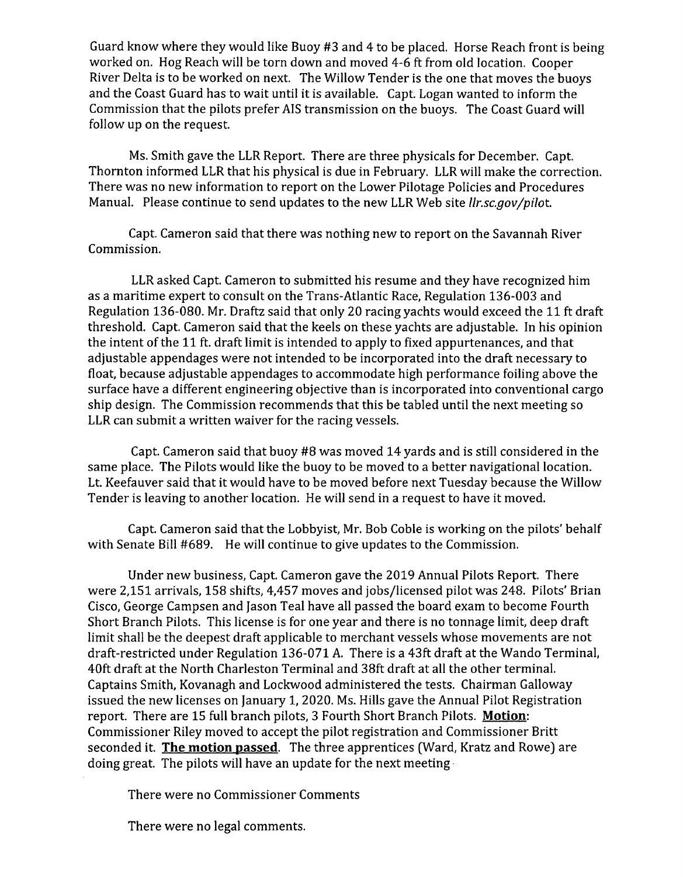Guard know where they would like Buoy #3 and 4 to be placed. Horse Reach front is being worked on. Hog Reach will be torn down and moved 4-6 ft from old location. Cooper River Delta is to be worked on next. The Willow Tender is the one that moves the buoys and the Coast Guard has to wait until it is available. Capt. Logan wanted to inform the Commission that the pilots prefer AIS transmission on the buoys. The Coast Guard will follow up on the request.

Ms. Smith gave the LLR Report. There are three physicals for December. Capt. Thornton informed LLR that his physical is due in February. LLR will make the correction. There was no new information to report on the Lower Pilotage Policies and Procedures Manual. Please continue to send updates to the new LLR Web site *Ilr.sc.gov/pilot.* 

Capt. Cameron said that there was nothing new to report on the Savannah River Commission.

LLR asked Capt. Cameron to submitted his resume and they have recognized him as a maritime expert to consult on the Trans-Atlantic Race, Regulation 136-003 and Regulation 136-080. Mr. Draftz said that only 20 racing yachts would exceed the 11 ft draft threshold. Capt. Cameron said that the keels on these yachts are adjustable. In his opinion the intent of the 11 ft. draft limit is intended to apply to fixed appurtenances, and that adjustable appendages were not intended to be incorporated into the draft necessary to float, because adjustable appendages to accommodate high performance foiling above the surface have a different engineering objective than is incorporated into conventional cargo ship design. The Commission recommends that this be tabled until the next meeting so LLR can submit a written waiver for the racing vessels.

Capt. Cameron said that buoy #8 was moved 14 yards and is still considered in the same place. The Pilots would like the buoy to be moved to a better navigational location. Lt. Keefauver said that it would have to be moved before next Tuesday because the Willow Tender is leaving to another location. He will send in a request to have it moved.

Capt. Cameron said that the Lobbyist, Mr. Bob Coble is working on the pilots' behalf with Senate Bill #689. He will continue to give updates to the Commission.

Under new business, Capt. Cameron gave the 2019 Annual Pilots Report. There were 2,151 arrivals, 158 shifts, 4,457 moves and jobs/licensed pilot was 248. Pilots' Brian Cisco, George Campsen and Jason Teal have all passed the board exam to become Fourth Short Branch Pilots. This license is for one year and there is no tonnage limit, deep draft limit shall be the deepest draft applicable to merchant vessels whose movements are not draft-restricted under Regulation 136-071 A. There is a 43ft draft at the Wando Terminal, 40ft draft at the North Charleston Terminal and 38ft draft at all the other terminal. Captains Smith, Kovanagh and Lockwood administered the tests. Chairman Galloway issued the new licenses on January 1, 2020. Ms. Hills gave the Annual Pilot Registration report. There are 15 full branch pilots, 3 Fourth Short Branch Pilots. **Motion:**  Commissioner Riley moved to accept the pilot registration and Commissioner Britt seconded it. **The motion passed.** The three apprentices (Ward, Kratz and Rowe) are doing great. The pilots will have an update for the next meeting•

There were no Commissioner Comments

There were no legal comments.